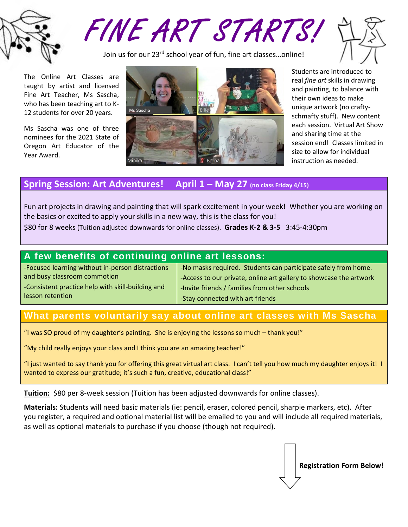

FINE ART STARTS!

Join us for our 23<sup>rd</sup> school year of fun, fine art classes...online!



The Online Art Classes are taught by artist and licensed Fine Art Teacher, Ms Sascha, who has been teaching art to K-12 students for over 20 years.

Ms Sascha was one of three nominees for the 2021 State of Oregon Art Educator of the Year Award.



Students are introduced to real *fine art* skills in drawing and painting, to balance with their own ideas to make unique artwork (no craftyschmafty stuff). New content each session. Virtual Art Show and sharing time at the session end! Classes limited in size to allow for individual instruction as needed.

## **Spring Session: Art Adventures! April 1 – May 27 (no class Friday 4/15)**

Fun art projects in drawing and painting that will spark excitement in your week! Whether you are working on the basics or excited to apply your skills in a new way, this is the class for you! \$80 for 8 weeks (Tuition adjusted downwards for online classes). **Grades K-2 & 3-5** 3:45-4:30pm

## **A few benefits of continuing online art lessons:**

-Focused learning without in-person distractions and busy classroom commotion -Consistent practice help with skill-building and

lesson retention

-No masks required. Students can participate safely from home. -Access to our private, online art gallery to showcase the artwork -Invite friends / families from other schools -Stay connected with art friends

## **What parents voluntarily say about online art classes with Ms Sascha**

"I was SO proud of my daughter's painting. She is enjoying the lessons so much – thank you!"

"My child really enjoys your class and I think you are an amazing teacher!"

"I just wanted to say thank you for offering this great virtual art class. I can't tell you how much my daughter enjoys it! I wanted to express our gratitude; it's such a fun, creative, educational class!"

**Tuition:** \$80 per 8-week session (Tuition has been adjusted downwards for online classes).

**Materials:** Students will need basic materials (ie: pencil, eraser, colored pencil, sharpie markers, etc). After you register, a required and optional material list will be emailed to you and will include all required materials, as well as optional materials to purchase if you choose (though not required).